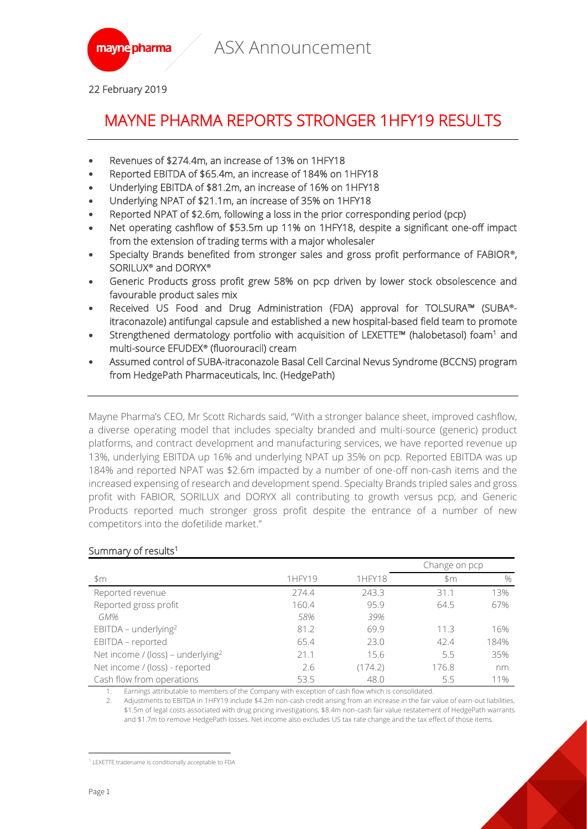

22 February 2019

## MAYNE PHARMA REPORTS STRONGER 1HFY19 RESULTS

- Revenues of \$274.4m, an increase of 13% on 1HFY18
- Reported EBITDA of \$65.4m, an increase of 184% on 1HFY18
- Underlying EBITDA of \$81.2m, an increase of 16% on 1HFY18
- Underlying NPAT of \$21.1m, an increase of 35% on 1HFY18
- Reported NPAT of \$2.6m, following a loss in the prior corresponding period (pcp)
- Net operating cashflow of \$53.5m up 11% on 1HFY18, despite a significant one-off impact from the extension of trading terms with a major wholesaler
- Specialty Brands benefited from stronger sales and gross profit performance of FABIOR**®**, SORILUX**®** and DORYX**®**
- Generic Products gross profit grew 58% on pcp driven by lower stock obsolescence and favourable product sales mix
- Received US Food and Drug Administration (FDA) approval for TOLSURA™ (SUBA**®** itraconazole) antifungal capsule and established a new hospital-based field team to promote
- Strengthened dermatology portfolio with acquisition of LEXETTE<sup>m</sup> (halobetasol) foam<sup>1</sup> and multi-source EFUDEX**®** (fluorouracil) cream
- Assumed control of SUBA-itraconazole Basal Cell Carcinal Nevus Syndrome (BCCNS) program from HedgePath Pharmaceuticals, Inc. (HedgePath)

Mayne Pharma's CEO, Mr Scott Richards said, "With a stronger balance sheet, improved cashflow, a diverse operating model that includes specialty branded and multi-source (generic) product platforms, and contract development and manufacturing services, we have reported revenue up 13%, underlying EBITDA up 16% and underlying NPAT up 35% on pcp. Reported EBITDA was up 184% and reported NPAT was \$2.6m impacted by a number of one-off non-cash items and the increased expensing of research and development spend. Specialty Brands tripled sales and gross profit with FABIOR, SORILUX and DORYX all contributing to growth versus pcp, and Generic Products reported much stronger gross profit despite the entrance of a number of new competitors into the dofetilide market."

|                                               |        |         | Change on pcp |      |
|-----------------------------------------------|--------|---------|---------------|------|
| $~\mathsf{Sm}$                                | 1HFY19 | 1HFY18  | \$m           | $\%$ |
| Reported revenue                              | 274.4  | 243.3   | 311           | 13%  |
| Reported gross profit                         | 160.4  | 95.9    | 64.5          | 67%  |
| GM%                                           | 58%    | 39%     |               |      |
| EBITDA - underlying <sup>2</sup>              | 81.2   | 69.9    | 113           | 16%  |
| EBITDA - reported                             | 65.4   | 23.0    | 42.4          | 184% |
| Net income / (loss) - underlying <sup>2</sup> | 21.1   | 15.6    | 5.5           | 35%  |
| Net income / (loss) - reported                | 2.6    | (174.2) | 176.8         | nm   |
| Cash flow from operations                     | 53.5   | 48.0    | 5.5           | 11%  |

#### Summary of results<sup>1</sup>

1. Earnings attributable to members of the Company with exception of cash flow which is consolidated.

2. Adjustments to EBITDA in 1HFY19 include \$4.2m non-cash credit arising from an increase in the fair value of earn-out liabilities, \$1.5m of legal costs associated with drug pricing investigations, \$8.4m non-cash fair value restatement of HedgePath warrants and \$1.7m to remove HedgePath losses. Net income also excludes US tax rate change and the tax effect of those items.

 $\overline{a}$ <sup>1</sup> LEXETTE tradename is conditionally acceptable to FDA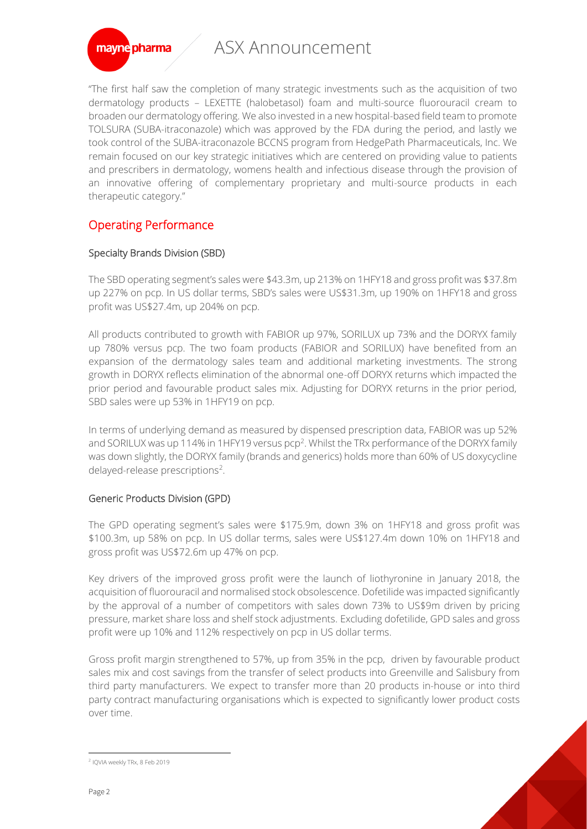

mayne pharma

"The first half saw the completion of many strategic investments such as the acquisition of two dermatology products – LEXETTE (halobetasol) foam and multi-source fluorouracil cream to broaden our dermatology offering. We also invested in a new hospital-based field team to promote TOLSURA (SUBA-itraconazole) which was approved by the FDA during the period, and lastly we took control of the SUBA-itraconazole BCCNS program from HedgePath Pharmaceuticals, Inc. We remain focused on our key strategic initiatives which are centered on providing value to patients and prescribers in dermatology, womens health and infectious disease through the provision of an innovative offering of complementary proprietary and multi-source products in each therapeutic category."

## Operating Performance

### Specialty Brands Division (SBD)

The SBD operating segment's sales were \$43.3m, up 213% on 1HFY18 and gross profit was \$37.8m up 227% on pcp. In US dollar terms, SBD's sales were US\$31.3m, up 190% on 1HFY18 and gross profit was US\$27.4m, up 204% on pcp.

All products contributed to growth with FABIOR up 97%, SORILUX up 73% and the DORYX family up 780% versus pcp. The two foam products (FABIOR and SORILUX) have benefited from an expansion of the dermatology sales team and additional marketing investments. The strong growth in DORYX reflects elimination of the abnormal one-off DORYX returns which impacted the prior period and favourable product sales mix. Adjusting for DORYX returns in the prior period, SBD sales were up 53% in 1HFY19 on pcp.

In terms of underlying demand as measured by dispensed prescription data, FABIOR was up 52% and SORILUX was up 114% in 1HFY19 versus  $pcp^2$ . Whilst the TRx performance of the DORYX family was down slightly, the DORYX family (brands and generics) holds more than 60% of US doxycycline delayed-release prescriptions<sup>2</sup>.

#### Generic Products Division (GPD)

The GPD operating segment's sales were \$175.9m, down 3% on 1HFY18 and gross profit was \$100.3m, up 58% on pcp. In US dollar terms, sales were US\$127.4m down 10% on 1HFY18 and gross profit was US\$72.6m up 47% on pcp.

Key drivers of the improved gross profit were the launch of liothyronine in January 2018, the acquisition of fluorouracil and normalised stock obsolescence. Dofetilide was impacted significantly by the approval of a number of competitors with sales down 73% to US\$9m driven by pricing pressure, market share loss and shelf stock adjustments. Excluding dofetilide, GPD sales and gross profit were up 10% and 112% respectively on pcp in US dollar terms.

Gross profit margin strengthened to 57%, up from 35% in the pcp, driven by favourable product sales mix and cost savings from the transfer of select products into Greenville and Salisbury from third party manufacturers. We expect to transfer more than 20 products in-house or into third party contract manufacturing organisations which is expected to significantly lower product costs over time.

 $\overline{a}$ 

<sup>2</sup> IQVIA weekly TRx, 8 Feb 2019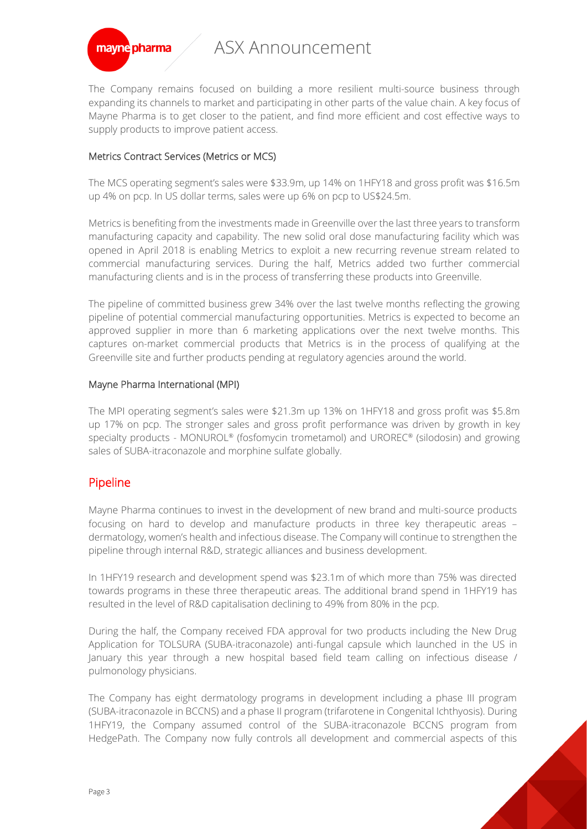

The Company remains focused on building a more resilient multi-source business through expanding its channels to market and participating in other parts of the value chain. A key focus of Mayne Pharma is to get closer to the patient, and find more efficient and cost effective ways to supply products to improve patient access.

#### Metrics Contract Services (Metrics or MCS)

The MCS operating segment's sales were \$33.9m, up 14% on 1HFY18 and gross profit was \$16.5m up 4% on pcp. In US dollar terms, sales were up 6% on pcp to US\$24.5m.

Metrics is benefiting from the investments made in Greenville over the last three years to transform manufacturing capacity and capability. The new solid oral dose manufacturing facility which was opened in April 2018 is enabling Metrics to exploit a new recurring revenue stream related to commercial manufacturing services. During the half, Metrics added two further commercial manufacturing clients and is in the process of transferring these products into Greenville.

The pipeline of committed business grew 34% over the last twelve months reflecting the growing pipeline of potential commercial manufacturing opportunities. Metrics is expected to become an approved supplier in more than 6 marketing applications over the next twelve months. This captures on-market commercial products that Metrics is in the process of qualifying at the Greenville site and further products pending at regulatory agencies around the world.

#### Mayne Pharma International (MPI)

The MPI operating segment's sales were \$21.3m up 13% on 1HFY18 and gross profit was \$5.8m up 17% on pcp. The stronger sales and gross profit performance was driven by growth in key specialty products - MONUROL® (fosfomycin trometamol) and UROREC® (silodosin) and growing sales of SUBA-itraconazole and morphine sulfate globally.

## Pipeline

Mayne Pharma continues to invest in the development of new brand and multi-source products focusing on hard to develop and manufacture products in three key therapeutic areas – dermatology, women's health and infectious disease. The Company will continue to strengthen the pipeline through internal R&D, strategic alliances and business development.

In 1HFY19 research and development spend was \$23.1m of which more than 75% was directed towards programs in these three therapeutic areas. The additional brand spend in 1HFY19 has resulted in the level of R&D capitalisation declining to 49% from 80% in the pcp.

During the half, the Company received FDA approval for two products including the New Drug Application for TOLSURA (SUBA-itraconazole) anti-fungal capsule which launched in the US in January this year through a new hospital based field team calling on infectious disease / pulmonology physicians.

The Company has eight dermatology programs in development including a phase III program (SUBA-itraconazole in BCCNS) and a phase II program (trifarotene in Congenital Ichthyosis). During 1HFY19, the Company assumed control of the SUBA-itraconazole BCCNS program from HedgePath. The Company now fully controls all development and commercial aspects of this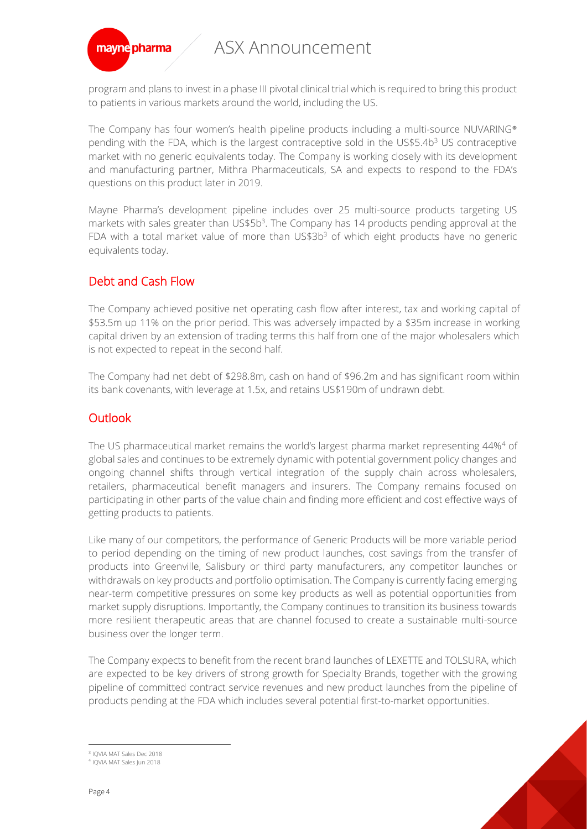

program and plans to invest in a phase III pivotal clinical trial which is required to bring this product to patients in various markets around the world, including the US.

The Company has four women's health pipeline products including a multi-source NUVARING® pending with the FDA, which is the largest contraceptive sold in the US\$5.4b<sup>3</sup> US contraceptive market with no generic equivalents today. The Company is working closely with its development and manufacturing partner, Mithra Pharmaceuticals, SA and expects to respond to the FDA's questions on this product later in 2019.

Mayne Pharma's development pipeline includes over 25 multi-source products targeting US markets with sales greater than US\$5b<sup>3</sup>. The Company has 14 products pending approval at the FDA with a total market value of more than US\$3b<sup>3</sup> of which eight products have no generic equivalents today.

## Debt and Cash Flow

The Company achieved positive net operating cash flow after interest, tax and working capital of \$53.5m up 11% on the prior period. This was adversely impacted by a \$35m increase in working capital driven by an extension of trading terms this half from one of the major wholesalers which is not expected to repeat in the second half.

The Company had net debt of \$298.8m, cash on hand of \$96.2m and has significant room within its bank covenants, with leverage at 1.5x, and retains US\$190m of undrawn debt.

## **Outlook**

The US pharmaceutical market remains the world's largest pharma market representing 44%<sup>4</sup> of global sales and continues to be extremely dynamic with potential government policy changes and ongoing channel shifts through vertical integration of the supply chain across wholesalers, retailers, pharmaceutical benefit managers and insurers. The Company remains focused on participating in other parts of the value chain and finding more efficient and cost effective ways of getting products to patients.

Like many of our competitors, the performance of Generic Products will be more variable period to period depending on the timing of new product launches, cost savings from the transfer of products into Greenville, Salisbury or third party manufacturers, any competitor launches or withdrawals on key products and portfolio optimisation. The Company is currently facing emerging near-term competitive pressures on some key products as well as potential opportunities from market supply disruptions. Importantly, the Company continues to transition its business towards more resilient therapeutic areas that are channel focused to create a sustainable multi-source business over the longer term.

The Company expects to benefit from the recent brand launches of LEXETTE and TOLSURA, which are expected to be key drivers of strong growth for Specialty Brands, together with the growing pipeline of committed contract service revenues and new product launches from the pipeline of products pending at the FDA which includes several potential first-to-market opportunities.

 $\overline{a}$ 3 IQVIA MAT Sales Dec 2018

<sup>4</sup> IQVIA MAT Sales Jun 2018